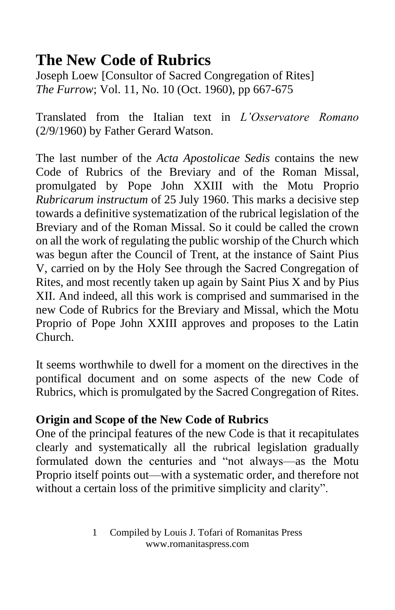# **The New Code of Rubrics**

Joseph Loew [Consultor of Sacred Congregation of Rites] *The Furrow*; Vol. 11, No. 10 (Oct. 1960), pp 667-675

Translated from the Italian text in *L'Osservatore Romano* (2/9/1960) by Father Gerard Watson.

The last number of the *Acta Apostolicae Sedis* contains the new Code of Rubrics of the Breviary and of the Roman Missal, promulgated by Pope John XXIII with the Motu Proprio *Rubricarum instructum* of 25 July 1960. This marks a decisive step towards a definitive systematization of the rubrical legislation of the Breviary and of the Roman Missal. So it could be called the crown on all the work of regulating the public worship of the Church which was begun after the Council of Trent, at the instance of Saint Pius V, carried on by the Holy See through the Sacred Congregation of Rites, and most recently taken up again by Saint Pius X and by Pius XII. And indeed, all this work is comprised and summarised in the new Code of Rubrics for the Breviary and Missal, which the Motu Proprio of Pope John XXIII approves and proposes to the Latin Church.

It seems worthwhile to dwell for a moment on the directives in the pontifical document and on some aspects of the new Code of Rubrics, which is promulgated by the Sacred Congregation of Rites.

## **Origin and Scope of the New Code of Rubrics**

One of the principal features of the new Code is that it recapitulates clearly and systematically all the rubrical legislation gradually formulated down the centuries and "not always—as the Motu Proprio itself points out—with a systematic order, and therefore not without a certain loss of the primitive simplicity and clarity".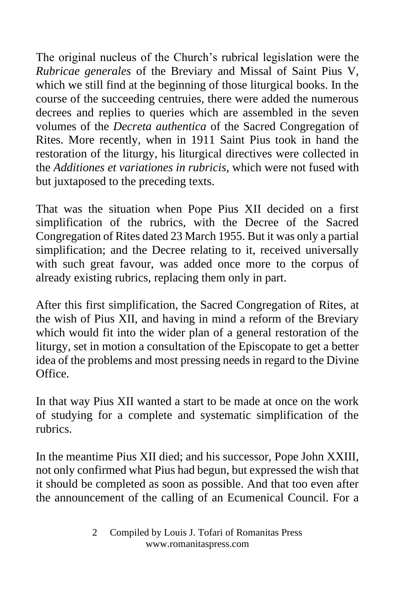The original nucleus of the Church's rubrical legislation were the *Rubricae generales* of the Breviary and Missal of Saint Pius V, which we still find at the beginning of those liturgical books. In the course of the succeeding centruies, there were added the numerous decrees and replies to queries which are assembled in the seven volumes of the *Decreta authentica* of the Sacred Congregation of Rites. More recently, when in 1911 Saint Pius took in hand the restoration of the liturgy, his liturgical directives were collected in the *Additiones et variationes in rubricis*, which were not fused with but juxtaposed to the preceding texts.

That was the situation when Pope Pius XII decided on a first simplification of the rubrics, with the Decree of the Sacred Congregation of Rites dated 23 March 1955. But it was only a partial simplification; and the Decree relating to it, received universally with such great favour, was added once more to the corpus of already existing rubrics, replacing them only in part.

After this first simplification, the Sacred Congregation of Rites, at the wish of Pius XII, and having in mind a reform of the Breviary which would fit into the wider plan of a general restoration of the liturgy, set in motion a consultation of the Episcopate to get a better idea of the problems and most pressing needs in regard to the Divine **Office** 

In that way Pius XII wanted a start to be made at once on the work of studying for a complete and systematic simplification of the rubrics.

In the meantime Pius XII died; and his successor, Pope John XXIII, not only confirmed what Pius had begun, but expressed the wish that it should be completed as soon as possible. And that too even after the announcement of the calling of an Ecumenical Council. For a

<sup>2</sup> Compiled by Louis J. Tofari of Romanitas Press www.romanitaspress.com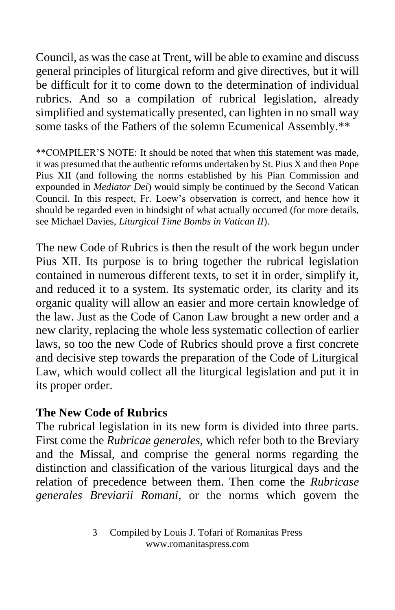Council, as was the case at Trent, will be able to examine and discuss general principles of liturgical reform and give directives, but it will be difficult for it to come down to the determination of individual rubrics. And so a compilation of rubrical legislation, already simplified and systematically presented, can lighten in no small way some tasks of the Fathers of the solemn Ecumenical Assembly.\*\*

\*\*COMPILER'S NOTE: It should be noted that when this statement was made, it was presumed that the authentic reforms undertaken by St. Pius X and then Pope Pius XII (and following the norms established by his Pian Commission and expounded in *Mediator Dei*) would simply be continued by the Second Vatican Council. In this respect, Fr. Loew's observation is correct, and hence how it should be regarded even in hindsight of what actually occurred (for more details, see Michael Davies, *Liturgical Time Bombs in Vatican II*).

The new Code of Rubrics is then the result of the work begun under Pius XII. Its purpose is to bring together the rubrical legislation contained in numerous different texts, to set it in order, simplify it, and reduced it to a system. Its systematic order, its clarity and its organic quality will allow an easier and more certain knowledge of the law. Just as the Code of Canon Law brought a new order and a new clarity, replacing the whole less systematic collection of earlier laws, so too the new Code of Rubrics should prove a first concrete and decisive step towards the preparation of the Code of Liturgical Law, which would collect all the liturgical legislation and put it in its proper order.

#### **The New Code of Rubrics**

The rubrical legislation in its new form is divided into three parts. First come the *Rubricae generales*, which refer both to the Breviary and the Missal, and comprise the general norms regarding the distinction and classification of the various liturgical days and the relation of precedence between them. Then come the *Rubricase generales Breviarii Romani*, or the norms which govern the

> 3 Compiled by Louis J. Tofari of Romanitas Press www.romanitaspress.com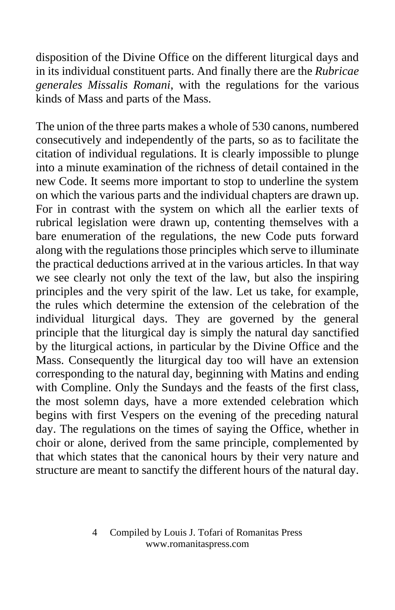disposition of the Divine Office on the different liturgical days and in its individual constituent parts. And finally there are the *Rubricae generales Missalis Romani*, with the regulations for the various kinds of Mass and parts of the Mass.

The union of the three parts makes a whole of 530 canons, numbered consecutively and independently of the parts, so as to facilitate the citation of individual regulations. It is clearly impossible to plunge into a minute examination of the richness of detail contained in the new Code. It seems more important to stop to underline the system on which the various parts and the individual chapters are drawn up. For in contrast with the system on which all the earlier texts of rubrical legislation were drawn up, contenting themselves with a bare enumeration of the regulations, the new Code puts forward along with the regulations those principles which serve to illuminate the practical deductions arrived at in the various articles. In that way we see clearly not only the text of the law, but also the inspiring principles and the very spirit of the law. Let us take, for example, the rules which determine the extension of the celebration of the individual liturgical days. They are governed by the general principle that the liturgical day is simply the natural day sanctified by the liturgical actions, in particular by the Divine Office and the Mass. Consequently the liturgical day too will have an extension corresponding to the natural day, beginning with Matins and ending with Compline. Only the Sundays and the feasts of the first class, the most solemn days, have a more extended celebration which begins with first Vespers on the evening of the preceding natural day. The regulations on the times of saying the Office, whether in choir or alone, derived from the same principle, complemented by that which states that the canonical hours by their very nature and structure are meant to sanctify the different hours of the natural day.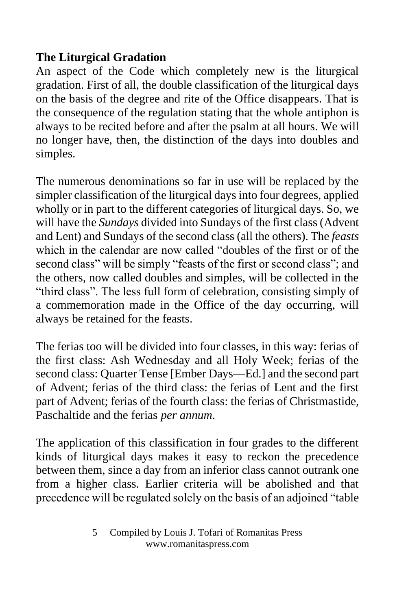#### **The Liturgical Gradation**

An aspect of the Code which completely new is the liturgical gradation. First of all, the double classification of the liturgical days on the basis of the degree and rite of the Office disappears. That is the consequence of the regulation stating that the whole antiphon is always to be recited before and after the psalm at all hours. We will no longer have, then, the distinction of the days into doubles and simples.

The numerous denominations so far in use will be replaced by the simpler classification of the liturgical days into four degrees, applied wholly or in part to the different categories of liturgical days. So, we will have the *Sundays* divided into Sundays of the first class (Advent and Lent) and Sundays of the second class (all the others). The *feasts* which in the calendar are now called "doubles of the first or of the second class" will be simply "feasts of the first or second class"; and the others, now called doubles and simples, will be collected in the "third class". The less full form of celebration, consisting simply of a commemoration made in the Office of the day occurring, will always be retained for the feasts.

The ferias too will be divided into four classes, in this way: ferias of the first class: Ash Wednesday and all Holy Week; ferias of the second class: Quarter Tense [Ember Days—Ed.] and the second part of Advent; ferias of the third class: the ferias of Lent and the first part of Advent; ferias of the fourth class: the ferias of Christmastide, Paschaltide and the ferias *per annum*.

The application of this classification in four grades to the different kinds of liturgical days makes it easy to reckon the precedence between them, since a day from an inferior class cannot outrank one from a higher class. Earlier criteria will be abolished and that precedence will be regulated solely on the basis of an adjoined "table

<sup>5</sup> Compiled by Louis J. Tofari of Romanitas Press www.romanitaspress.com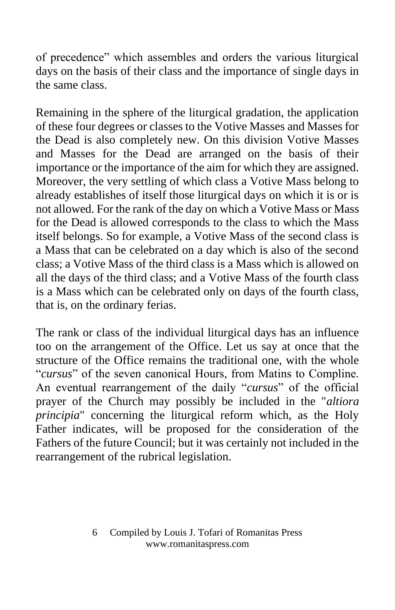of precedence" which assembles and orders the various liturgical days on the basis of their class and the importance of single days in the same class.

Remaining in the sphere of the liturgical gradation, the application of these four degrees or classes to the Votive Masses and Masses for the Dead is also completely new. On this division Votive Masses and Masses for the Dead are arranged on the basis of their importance or the importance of the aim for which they are assigned. Moreover, the very settling of which class a Votive Mass belong to already establishes of itself those liturgical days on which it is or is not allowed. For the rank of the day on which a Votive Mass or Mass for the Dead is allowed corresponds to the class to which the Mass itself belongs. So for example, a Votive Mass of the second class is a Mass that can be celebrated on a day which is also of the second class; a Votive Mass of the third class is a Mass which is allowed on all the days of the third class; and a Votive Mass of the fourth class is a Mass which can be celebrated only on days of the fourth class, that is, on the ordinary ferias.

The rank or class of the individual liturgical days has an influence too on the arrangement of the Office. Let us say at once that the structure of the Office remains the traditional one, with the whole "*cursus*" of the seven canonical Hours, from Matins to Compline. An eventual rearrangement of the daily "*cursus*" of the official prayer of the Church may possibly be included in the "*altiora principia*" concerning the liturgical reform which, as the Holy Father indicates, will be proposed for the consideration of the Fathers of the future Council; but it was certainly not included in the rearrangement of the rubrical legislation.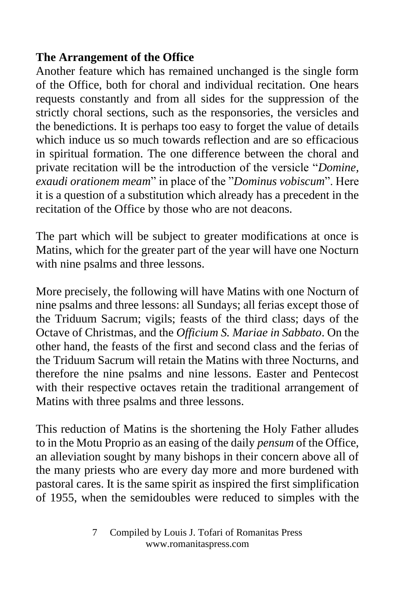#### **The Arrangement of the Office**

Another feature which has remained unchanged is the single form of the Office, both for choral and individual recitation. One hears requests constantly and from all sides for the suppression of the strictly choral sections, such as the responsories, the versicles and the benedictions. It is perhaps too easy to forget the value of details which induce us so much towards reflection and are so efficacious in spiritual formation. The one difference between the choral and private recitation will be the introduction of the versicle "*Domine, exaudi orationem meam*" in place of the "*Dominus vobiscum*". Here it is a question of a substitution which already has a precedent in the recitation of the Office by those who are not deacons.

The part which will be subject to greater modifications at once is Matins, which for the greater part of the year will have one Nocturn with nine psalms and three lessons.

More precisely, the following will have Matins with one Nocturn of nine psalms and three lessons: all Sundays; all ferias except those of the Triduum Sacrum; vigils; feasts of the third class; days of the Octave of Christmas, and the *Officium S. Mariae in Sabbato*. On the other hand, the feasts of the first and second class and the ferias of the Triduum Sacrum will retain the Matins with three Nocturns, and therefore the nine psalms and nine lessons. Easter and Pentecost with their respective octaves retain the traditional arrangement of Matins with three psalms and three lessons.

This reduction of Matins is the shortening the Holy Father alludes to in the Motu Proprio as an easing of the daily *pensum* of the Office, an alleviation sought by many bishops in their concern above all of the many priests who are every day more and more burdened with pastoral cares. It is the same spirit as inspired the first simplification of 1955, when the semidoubles were reduced to simples with the

<sup>7</sup> Compiled by Louis J. Tofari of Romanitas Press www.romanitaspress.com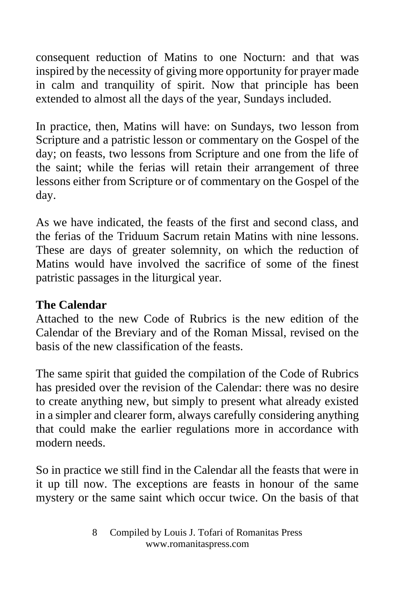consequent reduction of Matins to one Nocturn: and that was inspired by the necessity of giving more opportunity for prayer made in calm and tranquility of spirit. Now that principle has been extended to almost all the days of the year, Sundays included.

In practice, then, Matins will have: on Sundays, two lesson from Scripture and a patristic lesson or commentary on the Gospel of the day; on feasts, two lessons from Scripture and one from the life of the saint; while the ferias will retain their arrangement of three lessons either from Scripture or of commentary on the Gospel of the day.

As we have indicated, the feasts of the first and second class, and the ferias of the Triduum Sacrum retain Matins with nine lessons. These are days of greater solemnity, on which the reduction of Matins would have involved the sacrifice of some of the finest patristic passages in the liturgical year.

### **The Calendar**

Attached to the new Code of Rubrics is the new edition of the Calendar of the Breviary and of the Roman Missal, revised on the basis of the new classification of the feasts.

The same spirit that guided the compilation of the Code of Rubrics has presided over the revision of the Calendar: there was no desire to create anything new, but simply to present what already existed in a simpler and clearer form, always carefully considering anything that could make the earlier regulations more in accordance with modern needs.

So in practice we still find in the Calendar all the feasts that were in it up till now. The exceptions are feasts in honour of the same mystery or the same saint which occur twice. On the basis of that

<sup>8</sup> Compiled by Louis J. Tofari of Romanitas Press www.romanitaspress.com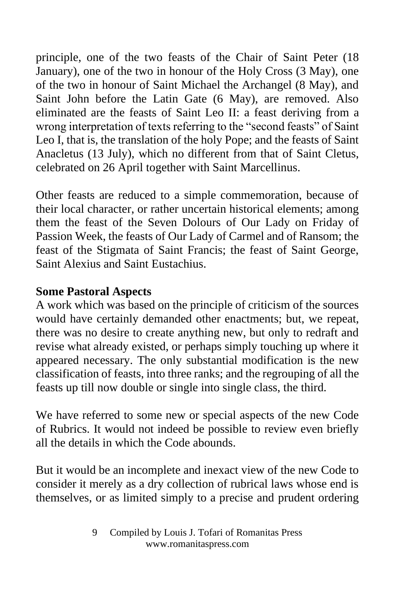principle, one of the two feasts of the Chair of Saint Peter (18 January), one of the two in honour of the Holy Cross (3 May), one of the two in honour of Saint Michael the Archangel (8 May), and Saint John before the Latin Gate (6 May), are removed. Also eliminated are the feasts of Saint Leo II: a feast deriving from a wrong interpretation of texts referring to the "second feasts" of Saint Leo I, that is, the translation of the holy Pope; and the feasts of Saint Anacletus (13 July), which no different from that of Saint Cletus, celebrated on 26 April together with Saint Marcellinus.

Other feasts are reduced to a simple commemoration, because of their local character, or rather uncertain historical elements; among them the feast of the Seven Dolours of Our Lady on Friday of Passion Week, the feasts of Our Lady of Carmel and of Ransom; the feast of the Stigmata of Saint Francis; the feast of Saint George, Saint Alexius and Saint Eustachius.

### **Some Pastoral Aspects**

A work which was based on the principle of criticism of the sources would have certainly demanded other enactments; but, we repeat, there was no desire to create anything new, but only to redraft and revise what already existed, or perhaps simply touching up where it appeared necessary. The only substantial modification is the new classification of feasts, into three ranks; and the regrouping of all the feasts up till now double or single into single class, the third.

We have referred to some new or special aspects of the new Code of Rubrics. It would not indeed be possible to review even briefly all the details in which the Code abounds.

But it would be an incomplete and inexact view of the new Code to consider it merely as a dry collection of rubrical laws whose end is themselves, or as limited simply to a precise and prudent ordering

<sup>9</sup> Compiled by Louis J. Tofari of Romanitas Press www.romanitaspress.com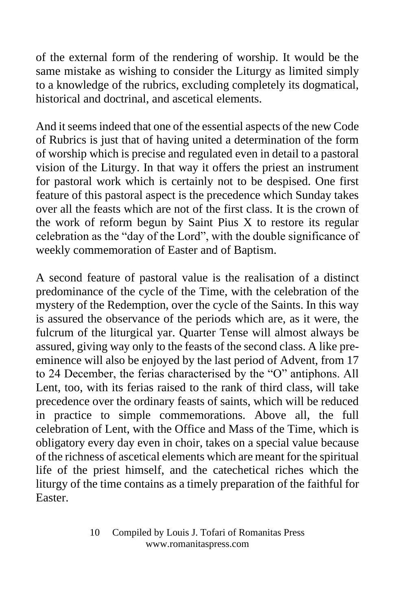of the external form of the rendering of worship. It would be the same mistake as wishing to consider the Liturgy as limited simply to a knowledge of the rubrics, excluding completely its dogmatical, historical and doctrinal, and ascetical elements.

And it seems indeed that one of the essential aspects of the new Code of Rubrics is just that of having united a determination of the form of worship which is precise and regulated even in detail to a pastoral vision of the Liturgy. In that way it offers the priest an instrument for pastoral work which is certainly not to be despised. One first feature of this pastoral aspect is the precedence which Sunday takes over all the feasts which are not of the first class. It is the crown of the work of reform begun by Saint Pius X to restore its regular celebration as the "day of the Lord", with the double significance of weekly commemoration of Easter and of Baptism.

A second feature of pastoral value is the realisation of a distinct predominance of the cycle of the Time, with the celebration of the mystery of the Redemption, over the cycle of the Saints. In this way is assured the observance of the periods which are, as it were, the fulcrum of the liturgical yar. Quarter Tense will almost always be assured, giving way only to the feasts of the second class. A like preeminence will also be enjoyed by the last period of Advent, from 17 to 24 December, the ferias characterised by the "O" antiphons. All Lent, too, with its ferias raised to the rank of third class, will take precedence over the ordinary feasts of saints, which will be reduced in practice to simple commemorations. Above all, the full celebration of Lent, with the Office and Mass of the Time, which is obligatory every day even in choir, takes on a special value because of the richness of ascetical elements which are meant for the spiritual life of the priest himself, and the catechetical riches which the liturgy of the time contains as a timely preparation of the faithful for **Easter**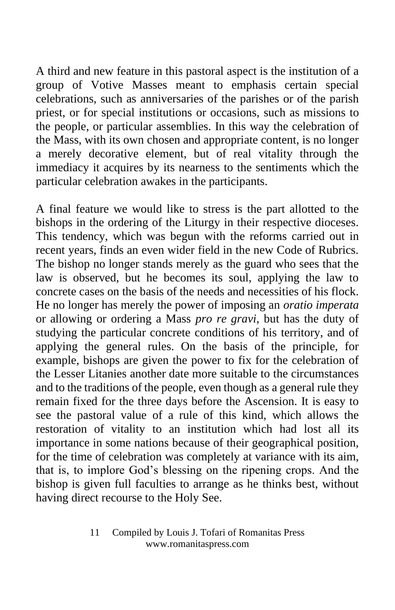A third and new feature in this pastoral aspect is the institution of a group of Votive Masses meant to emphasis certain special celebrations, such as anniversaries of the parishes or of the parish priest, or for special institutions or occasions, such as missions to the people, or particular assemblies. In this way the celebration of the Mass, with its own chosen and appropriate content, is no longer a merely decorative element, but of real vitality through the immediacy it acquires by its nearness to the sentiments which the particular celebration awakes in the participants.

A final feature we would like to stress is the part allotted to the bishops in the ordering of the Liturgy in their respective dioceses. This tendency, which was begun with the reforms carried out in recent years, finds an even wider field in the new Code of Rubrics. The bishop no longer stands merely as the guard who sees that the law is observed, but he becomes its soul, applying the law to concrete cases on the basis of the needs and necessities of his flock. He no longer has merely the power of imposing an *oratio imperata* or allowing or ordering a Mass *pro re gravi*, but has the duty of studying the particular concrete conditions of his territory, and of applying the general rules. On the basis of the principle, for example, bishops are given the power to fix for the celebration of the Lesser Litanies another date more suitable to the circumstances and to the traditions of the people, even though as a general rule they remain fixed for the three days before the Ascension. It is easy to see the pastoral value of a rule of this kind, which allows the restoration of vitality to an institution which had lost all its importance in some nations because of their geographical position, for the time of celebration was completely at variance with its aim, that is, to implore God's blessing on the ripening crops. And the bishop is given full faculties to arrange as he thinks best, without having direct recourse to the Holy See.

11 Compiled by Louis J. Tofari of Romanitas Press www.romanitaspress.com